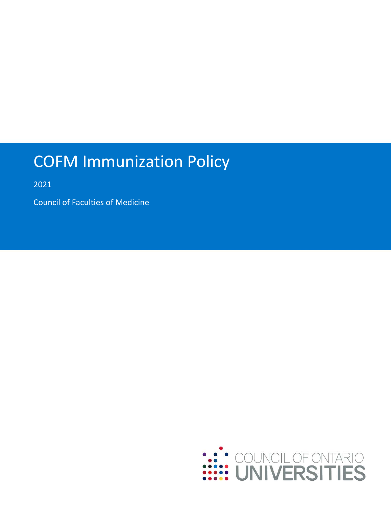# COFM Immunization Policy

2021

Council of Faculties of Medicine

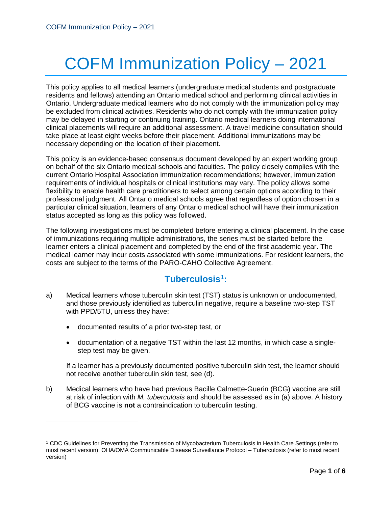# COFM Immunization Policy – 2021

This policy applies to all medical learners (undergraduate medical students and postgraduate residents and fellows) attending an Ontario medical school and performing clinical activities in Ontario. Undergraduate medical learners who do not comply with the immunization policy may be excluded from clinical activities. Residents who do not comply with the immunization policy may be delayed in starting or continuing training. Ontario medical learners doing international clinical placements will require an additional assessment. A travel medicine consultation should take place at least eight weeks before their placement. Additional immunizations may be necessary depending on the location of their placement.

This policy is an evidence-based consensus document developed by an expert working group on behalf of the six Ontario medical schools and faculties. The policy closely complies with the current Ontario Hospital Association immunization recommendations; however, immunization requirements of individual hospitals or clinical institutions may vary. The policy allows some flexibility to enable health care practitioners to select among certain options according to their professional judgment. All Ontario medical schools agree that regardless of option chosen in a particular clinical situation, learners of any Ontario medical school will have their immunization status accepted as long as this policy was followed.

The following investigations must be completed before entering a clinical placement. In the case of immunizations requiring multiple administrations, the series must be started before the learner enters a clinical placement and completed by the end of the first academic year. The medical learner may incur costs associated with some immunizations. For resident learners, the costs are subject to the terms of the PARO-CAHO Collective Agreement.

## **Tuberculosis**[1](#page-1-0) **:**

- a) Medical learners whose tuberculin skin test (TST) status is unknown or undocumented, and those previously identified as tuberculin negative, require a baseline two-step TST with PPD/5TU, unless they have:
	- documented results of a prior two-step test, or

 $\overline{a}$ 

• documentation of a negative TST within the last 12 months, in which case a singlestep test may be given.

If a learner has a previously documented positive tuberculin skin test, the learner should not receive another tuberculin skin test, see (d).

b) Medical learners who have had previous Bacille Calmette-Guerin (BCG) vaccine are still at risk of infection with *M. tuberculosis* and should be assessed as in (a) above. A history of BCG vaccine is **not** a contraindication to tuberculin testing.

<span id="page-1-0"></span><sup>1</sup> CDC Guidelines for Preventing the Transmission of Mycobacterium Tuberculosis in Health Care Settings (refer to most recent version). OHA/OMA Communicable Disease Surveillance Protocol – Tuberculosis (refer to most recent version)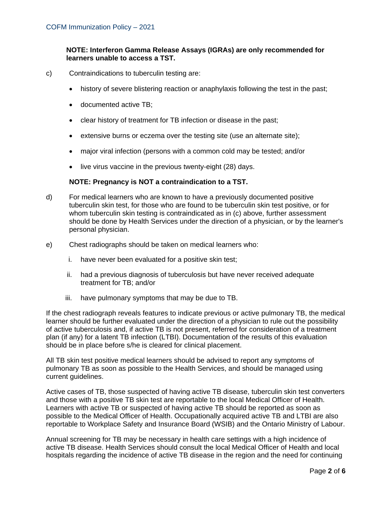#### **NOTE: Interferon Gamma Release Assays (IGRAs) are only recommended for learners unable to access a TST.**

- c) Contraindications to tuberculin testing are:
	- history of severe blistering reaction or anaphylaxis following the test in the past;
	- documented active TB;
	- clear history of treatment for TB infection or disease in the past;
	- extensive burns or eczema over the testing site (use an alternate site);
	- major viral infection (persons with a common cold may be tested; and/or
	- live virus vaccine in the previous twenty-eight (28) days.

#### **NOTE: Pregnancy is NOT a contraindication to a TST.**

- d) For medical learners who are known to have a previously documented positive tuberculin skin test, for those who are found to be tuberculin skin test positive, or for whom tuberculin skin testing is contraindicated as in (c) above, further assessment should be done by Health Services under the direction of a physician, or by the learner's personal physician.
- e) Chest radiographs should be taken on medical learners who:
	- i. have never been evaluated for a positive skin test;
	- ii. had a previous diagnosis of tuberculosis but have never received adequate treatment for TB; and/or
	- iii. have pulmonary symptoms that may be due to TB.

If the chest radiograph reveals features to indicate previous or active pulmonary TB, the medical learner should be further evaluated under the direction of a physician to rule out the possibility of active tuberculosis and, if active TB is not present, referred for consideration of a treatment plan (if any) for a latent TB infection (LTBI). Documentation of the results of this evaluation should be in place before s/he is cleared for clinical placement.

All TB skin test positive medical learners should be advised to report any symptoms of pulmonary TB as soon as possible to the Health Services, and should be managed using current guidelines.

Active cases of TB, those suspected of having active TB disease, tuberculin skin test converters and those with a positive TB skin test are reportable to the local Medical Officer of Health. Learners with active TB or suspected of having active TB should be reported as soon as possible to the Medical Officer of Health. Occupationally acquired active TB and LTBI are also reportable to Workplace Safety and Insurance Board (WSIB) and the Ontario Ministry of Labour.

Annual screening for TB may be necessary in health care settings with a high incidence of active TB disease. Health Services should consult the local Medical Officer of Health and local hospitals regarding the incidence of active TB disease in the region and the need for continuing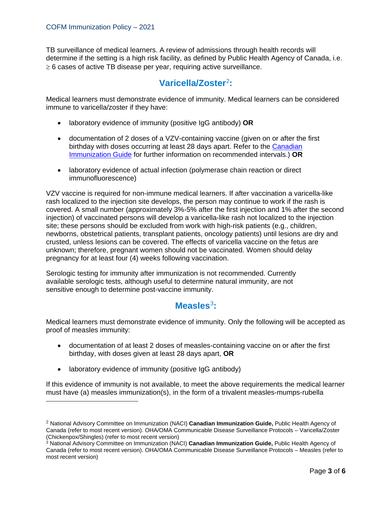TB surveillance of medical learners. A review of admissions through health records will determine if the setting is a high risk facility, as defined by Public Health Agency of Canada, i.e.  $\geq$  6 cases of active TB disease per year, requiring active surveillance.

## **Varicella/Zoster**[2](#page-3-0) **:**

Medical learners must demonstrate evidence of immunity. Medical learners can be considered immune to varicella/zoster if they have:

- laboratory evidence of immunity (positive IgG antibody) **OR**
- documentation of 2 doses of a VZV-containing vaccine (given on or after the first birthday with doses occurring at least 28 days apart. Refer to the [Canadian](https://www.canada.ca/en/public-health/services/publications/healthy-living/canadian-immunization-guide-part-1-key-immunization-information/page-13-recommended-immunization-schedules.html)  [Immunization Guide](https://www.canada.ca/en/public-health/services/publications/healthy-living/canadian-immunization-guide-part-1-key-immunization-information/page-13-recommended-immunization-schedules.html) for further information on recommended intervals.) **OR**
- laboratory evidence of actual infection (polymerase chain reaction or direct immunofluorescence)

VZV vaccine is required for non-immune medical learners. If after vaccination a varicella-like rash localized to the injection site develops, the person may continue to work if the rash is covered. A small number (approximately 3%-5% after the first injection and 1% after the second injection) of vaccinated persons will develop a varicella-like rash not localized to the injection site; these persons should be excluded from work with high-risk patients (e.g., children, newborns, obstetrical patients, transplant patients, oncology patients) until lesions are dry and crusted, unless lesions can be covered. The effects of varicella vaccine on the fetus are unknown; therefore, pregnant women should not be vaccinated. Women should delay pregnancy for at least four (4) weeks following vaccination.

Serologic testing for immunity after immunization is not recommended. Currently available serologic tests, although useful to determine natural immunity, are not sensitive enough to determine post-vaccine immunity.

#### **Measles**[3](#page-3-1)**:**

Medical learners must demonstrate evidence of immunity. Only the following will be accepted as proof of measles immunity:

- documentation of at least 2 doses of measles-containing vaccine on or after the first birthday, with doses given at least 28 days apart, **OR**
- laboratory evidence of immunity (positive IgG antibody)

 $\ddot{\phantom{a}}$ 

If this evidence of immunity is not available, to meet the above requirements the medical learner must have (a) measles immunization(s), in the form of a trivalent measles-mumps-rubella

<span id="page-3-0"></span><sup>2</sup> National Advisory Committee on Immunization (NACI) **Canadian Immunization Guide,** Public Health Agency of Canada (refer to most recent version). OHA/OMA Communicable Disease Surveillance Protocols – Varicella/Zoster (Chickenpox/Shingles) (refer to most recent version)

<span id="page-3-1"></span><sup>3</sup> National Advisory Committee on Immunization (NACI) **Canadian Immunization Guide,** Public Health Agency of Canada (refer to most recent version). OHA/OMA Communicable Disease Surveillance Protocols – Measles (refer to most recent version)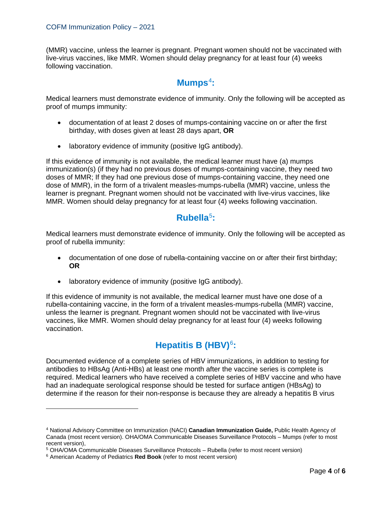(MMR) vaccine, unless the learner is pregnant. Pregnant women should not be vaccinated with live-virus vaccines, like MMR. Women should delay pregnancy for at least four (4) weeks following vaccination.

#### **Mumps**[4](#page-4-0)**:**

Medical learners must demonstrate evidence of immunity. Only the following will be accepted as proof of mumps immunity:

- documentation of at least 2 doses of mumps-containing vaccine on or after the first birthday, with doses given at least 28 days apart, **OR**
- laboratory evidence of immunity (positive IgG antibody).

If this evidence of immunity is not available, the medical learner must have (a) mumps immunization(s) (if they had no previous doses of mumps-containing vaccine, they need two doses of MMR; If they had one previous dose of mumps-containing vaccine, they need one dose of MMR), in the form of a trivalent measles-mumps-rubella (MMR) vaccine, unless the learner is pregnant. Pregnant women should not be vaccinated with live-virus vaccines, like MMR. Women should delay pregnancy for at least four (4) weeks following vaccination.

## **Rubella**[5](#page-4-1) **:**

Medical learners must demonstrate evidence of immunity. Only the following will be accepted as proof of rubella immunity:

- documentation of one dose of rubella-containing vaccine on or after their first birthday; **OR**
- laboratory evidence of immunity (positive IgG antibody).

If this evidence of immunity is not available, the medical learner must have one dose of a rubella-containing vaccine, in the form of a trivalent measles-mumps-rubella (MMR) vaccine, unless the learner is pregnant. Pregnant women should not be vaccinated with live-virus vaccines, like MMR. Women should delay pregnancy for at least four (4) weeks following vaccination.

# **Hepatitis B (HBV)**[6](#page-4-2) **:**

Documented evidence of a complete series of HBV immunizations, in addition to testing for antibodies to HBsAg (Anti-HBs) at least one month after the vaccine series is complete is required. Medical learners who have received a complete series of HBV vaccine and who have had an inadequate serological response should be tested for surface antigen (HBsAg) to determine if the reason for their non-response is because they are already a hepatitis B virus

 $\overline{a}$ 

<span id="page-4-0"></span><sup>4</sup> National Advisory Committee on Immunization (NACI) **Canadian Immunization Guide,** Public Health Agency of Canada (most recent version). OHA/OMA Communicable Diseases Surveillance Protocols – Mumps (refer to most recent version),<br><sup>5</sup> OHA/OMA Communicable Diseases Surveillance Protocols – Rubella (refer to most recent version)

<span id="page-4-1"></span>

<span id="page-4-2"></span><sup>6</sup> American Academy of Pediatrics **Red Book** (refer to most recent version)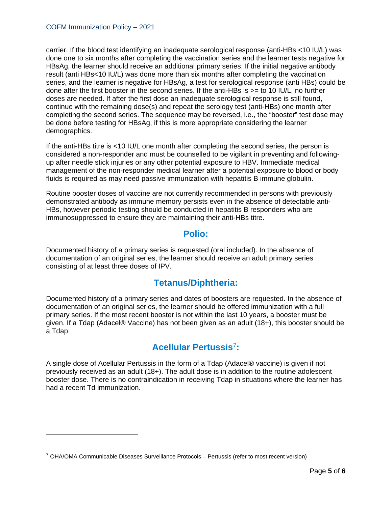carrier. If the blood test identifying an inadequate serological response (anti-HBs <10 IU/L) was done one to six months after completing the vaccination series and the learner tests negative for HBsAg, the learner should receive an additional primary series. If the initial negative antibody result (anti HBs<10 IU/L) was done more than six months after completing the vaccination series, and the learner is negative for HBsAg, a test for serological response (anti HBs) could be done after the first booster in the second series. If the anti-HBs is >= to 10 IU/L, no further doses are needed. If after the first dose an inadequate serological response is still found, continue with the remaining dose(s) and repeat the serology test (anti-HBs) one month after completing the second series. The sequence may be reversed, i.e., the "booster" test dose may be done before testing for HBsAg, if this is more appropriate considering the learner demographics.

If the anti-HBs titre is <10 IU/L one month after completing the second series, the person is considered a non-responder and must be counselled to be vigilant in preventing and followingup after needle stick injuries or any other potential exposure to HBV. Immediate medical management of the non-responder medical learner after a potential exposure to blood or body fluids is required as may need passive immunization with hepatitis B immune globulin.

Routine booster doses of vaccine are not currently recommended in persons with previously demonstrated antibody as immune memory persists even in the absence of detectable anti-HBs, however periodic testing should be conducted in hepatitis B responders who are immunosuppressed to ensure they are maintaining their anti-HBs titre.

#### **Polio:**

Documented history of a primary series is requested (oral included). In the absence of documentation of an original series, the learner should receive an adult primary series consisting of at least three doses of IPV.

#### **Tetanus/Diphtheria:**

Documented history of a primary series and dates of boosters are requested. In the absence of documentation of an original series, the learner should be offered immunization with a full primary series. If the most recent booster is not within the last 10 years, a booster must be given. If a Tdap (Adacel® Vaccine) has not been given as an adult (18+), this booster should be a Tdap.

## **Acellular Pertussis**[7](#page-5-0)**:**

A single dose of Acellular Pertussis in the form of a Tdap (Adacel® vaccine) is given if not previously received as an adult (18+). The adult dose is in addition to the routine adolescent booster dose. There is no contraindication in receiving Tdap in situations where the learner has had a recent Td immunization.

 $\overline{a}$ 

<span id="page-5-0"></span> $7$  OHA/OMA Communicable Diseases Surveillance Protocols – Pertussis (refer to most recent version)